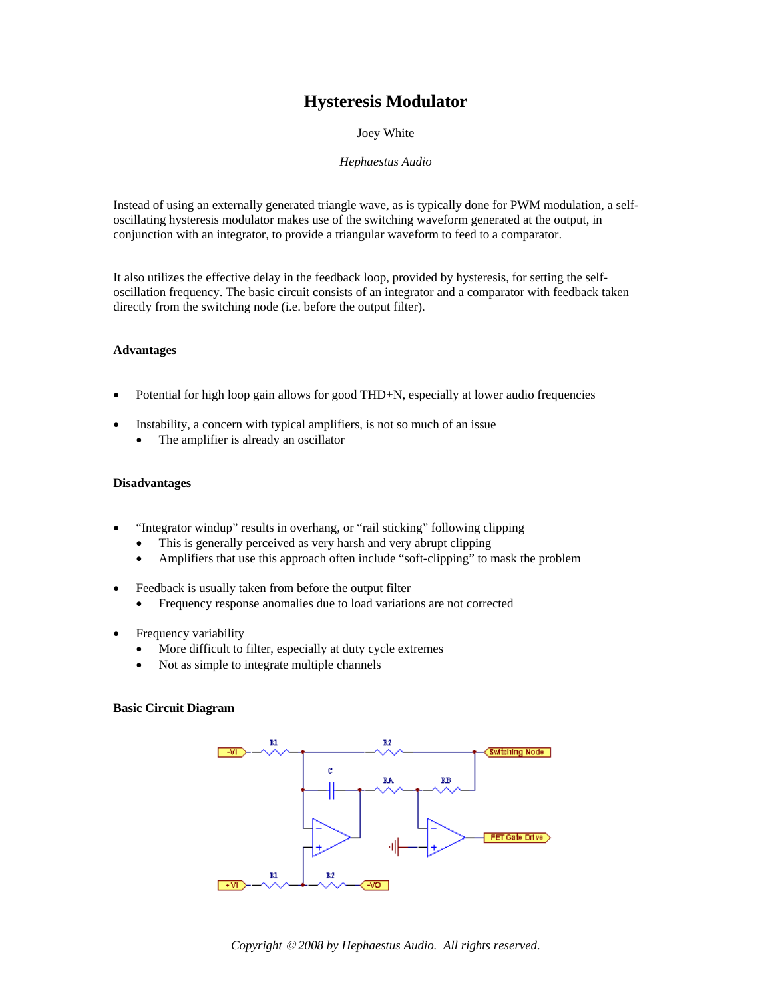# **Hysteresis Modulator**

Joey White

## *Hephaestus Audio*

Instead of using an externally generated triangle wave, as is typically done for PWM modulation, a selfoscillating hysteresis modulator makes use of the switching waveform generated at the output, in conjunction with an integrator, to provide a triangular waveform to feed to a comparator.

It also utilizes the effective delay in the feedback loop, provided by hysteresis, for setting the selfoscillation frequency. The basic circuit consists of an integrator and a comparator with feedback taken directly from the switching node (i.e. before the output filter).

## **Advantages**

- Potential for high loop gain allows for good THD+N, especially at lower audio frequencies
- Instability, a concern with typical amplifiers, is not so much of an issue
	- The amplifier is already an oscillator

#### **Disadvantages**

- "Integrator windup" results in overhang, or "rail sticking" following clipping
	- This is generally perceived as very harsh and very abrupt clipping
	- Amplifiers that use this approach often include "soft-clipping" to mask the problem
- Feedback is usually taken from before the output filter
	- Frequency response anomalies due to load variations are not corrected
- Frequency variability
	- More difficult to filter, especially at duty cycle extremes
	- Not as simple to integrate multiple channels

## **Basic Circuit Diagram**